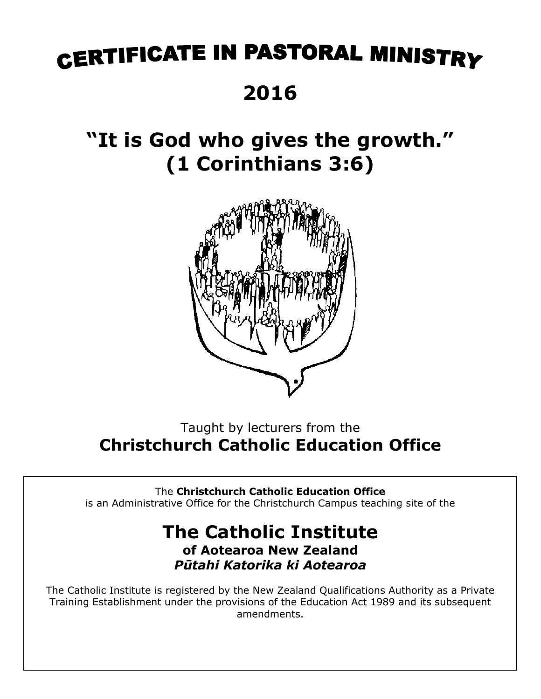# **CERTIFICATE IN PASTORAL MINISTRY**

## **2016**

# **"It is God who gives the growth." (1 Corinthians 3:6)**



### Taught by lecturers from the **Christchurch Catholic Education Office**

The **Christchurch Catholic Education Office** is an Administrative Office for the Christchurch Campus teaching site of the

#### **The Catholic Institute of Aotearoa New Zealand** *Pūtahi Katorika ki Aotearoa*

The Catholic Institute is registered by the New Zealand Qualifications Authority as a Private Training Establishment under the provisions of the Education Act 1989 and its subsequent amendments.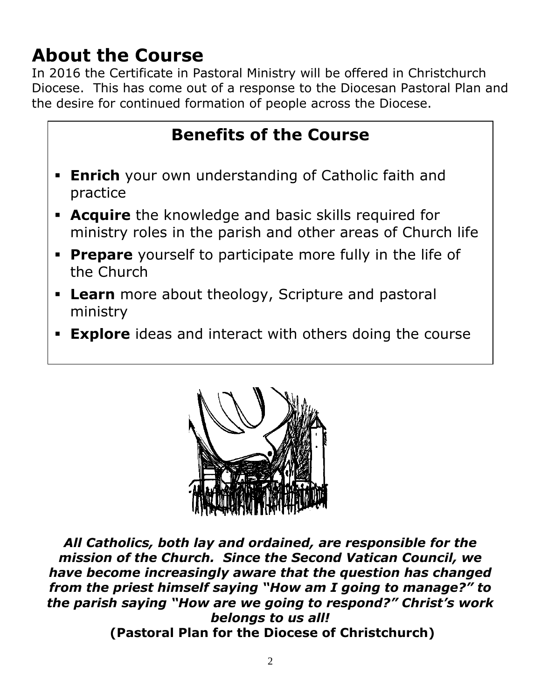# **About the Course**

In 2016 the Certificate in Pastoral Ministry will be offered in Christchurch Diocese. This has come out of a response to the Diocesan Pastoral Plan and the desire for continued formation of people across the Diocese.

### **Benefits of the Course**

- **Enrich** your own understanding of Catholic faith and practice
- **Acquire** the knowledge and basic skills required for ministry roles in the parish and other areas of Church life
- **Prepare** yourself to participate more fully in the life of the Church
- **Learn** more about theology, Scripture and pastoral ministry
- **Explore** ideas and interact with others doing the course



*All Catholics, both lay and ordained, are responsible for the mission of the Church. Since the Second Vatican Council, we have become increasingly aware that the question has changed from the priest himself saying "How am I going to manage?" to the parish saying "How are we going to respond?" Christ's work belongs to us all!*  **(Pastoral Plan for the Diocese of Christchurch)**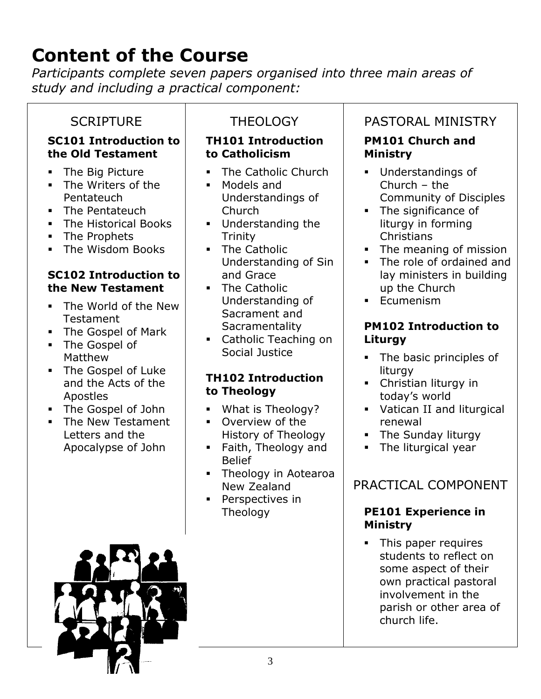# **Content of the Course**

*Participants complete seven papers organised into three main areas of study and including a practical component:*

**to Catholicism**

#### **SCRIPTURE**

#### **SC101 Introduction to the Old Testament**

- **The Big Picture**
- The Writers of the Pentateuch
- **The Pentateuch**
- **The Historical Books**
- The Prophets
- **The Wisdom Books**

#### **SC102 Introduction to the New Testament**

- **The World of the New** Testament
- The Gospel of Mark
- The Gospel of Matthew
- **The Gospel of Luke** and the Acts of the Apostles
- The Gospel of John
- **The New Testament** Letters and the Apocalypse of John

#### **THEOLOGY TH101 Introduction**

- The Catholic Church
- Models and Understandings of Church
- **Understanding the Trinity**
- **The Catholic** Understanding of Sin and Grace
- **The Catholic** Understanding of Sacrament and **Sacramentality**
- **Catholic Teaching on** Social Justice

#### **TH102 Introduction to Theology**

- What is Theology?
- **•** Overview of the History of Theology
- **Faith, Theology and** Belief
- Theology in Aotearoa New Zealand
- **Perspectives in Theology**

#### PASTORAL MINISTRY

#### **PM101 Church and Ministry**

- **Understandings of** Church – the Community of Disciples
- The significance of liturgy in forming **Christians**
- The meaning of mission
- The role of ordained and lay ministers in building up the Church
- **Ecumenism**

#### **PM102 Introduction to Liturgy**

- The basic principles of liturgy
- **Christian liturgy in** today's world
- **Vatican II and liturgical** renewal
- The Sunday liturgy
- The liturgical year

### PRACTICAL COMPONENT

#### **PE101 Experience in Ministry**

 This paper requires students to reflect on some aspect of their own practical pastoral involvement in the parish or other area of church life.

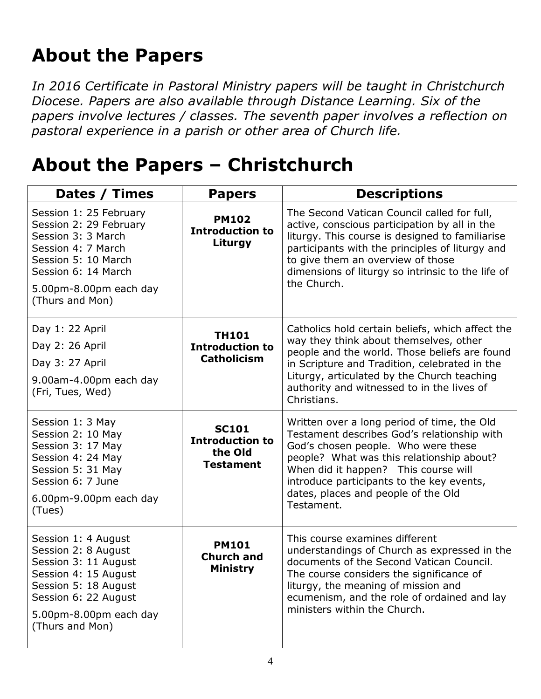# **About the Papers**

*In 2016 Certificate in Pastoral Ministry papers will be taught in Christchurch Diocese. Papers are also available through Distance Learning. Six of the papers involve lectures / classes. The seventh paper involves a reflection on pastoral experience in a parish or other area of Church life.*

### **About the Papers – Christchurch**

| Dates / Times                                                                                                                                                                           | <b>Papers</b>                                                         | <b>Descriptions</b>                                                                                                                                                                                                                                                                                                      |
|-----------------------------------------------------------------------------------------------------------------------------------------------------------------------------------------|-----------------------------------------------------------------------|--------------------------------------------------------------------------------------------------------------------------------------------------------------------------------------------------------------------------------------------------------------------------------------------------------------------------|
| Session 1: 25 February<br>Session 2: 29 February<br>Session 3: 3 March<br>Session 4: 7 March<br>Session 5: 10 March<br>Session 6: 14 March<br>5.00pm-8.00pm each day<br>(Thurs and Mon) | <b>PM102</b><br><b>Introduction to</b><br>Liturgy                     | The Second Vatican Council called for full,<br>active, conscious participation by all in the<br>liturgy. This course is designed to familiarise<br>participants with the principles of liturgy and<br>to give them an overview of those<br>dimensions of liturgy so intrinsic to the life of<br>the Church.              |
| Day 1: 22 April<br>Day 2: 26 April<br>Day 3: 27 April<br>9.00am-4.00pm each day<br>(Fri, Tues, Wed)                                                                                     | <b>TH101</b><br><b>Introduction to</b><br><b>Catholicism</b>          | Catholics hold certain beliefs, which affect the<br>way they think about themselves, other<br>people and the world. Those beliefs are found<br>in Scripture and Tradition, celebrated in the<br>Liturgy, articulated by the Church teaching<br>authority and witnessed to in the lives of<br>Christians.                 |
| Session 1: 3 May<br>Session 2: 10 May<br>Session 3: 17 May<br>Session 4: 24 May<br>Session 5: 31 May<br>Session 6: 7 June<br>6.00pm-9.00pm each day<br>(Tues)                           | <b>SC101</b><br><b>Introduction to</b><br>the Old<br><b>Testament</b> | Written over a long period of time, the Old<br>Testament describes God's relationship with<br>God's chosen people. Who were these<br>people? What was this relationship about?<br>When did it happen? This course will<br>introduce participants to the key events,<br>dates, places and people of the Old<br>Testament. |
| Session 1: 4 August<br>Session 2: 8 August<br>Session 3: 11 August<br>Session 4: 15 August<br>Session 5: 18 August<br>Session 6: 22 August<br>5.00pm-8.00pm each day<br>(Thurs and Mon) | <b>PM101</b><br><b>Church and</b><br>Ministry                         | This course examines different<br>understandings of Church as expressed in the<br>documents of the Second Vatican Council.<br>The course considers the significance of<br>liturgy, the meaning of mission and<br>ecumenism, and the role of ordained and lay<br>ministers within the Church.                             |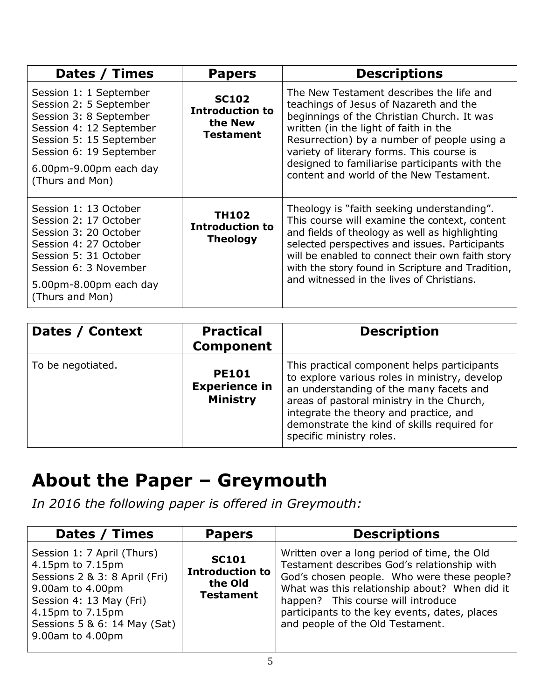| Dates / Times                                                                                                                                                                                            | <b>Papers</b>                                                         | <b>Descriptions</b>                                                                                                                                                                                                                                                                                                                                               |
|----------------------------------------------------------------------------------------------------------------------------------------------------------------------------------------------------------|-----------------------------------------------------------------------|-------------------------------------------------------------------------------------------------------------------------------------------------------------------------------------------------------------------------------------------------------------------------------------------------------------------------------------------------------------------|
| Session 1: 1 September<br>Session 2: 5 September<br>Session 3: 8 September<br>Session 4: 12 September<br>Session 5: 15 September<br>Session 6: 19 September<br>6.00pm-9.00pm each day<br>(Thurs and Mon) | <b>SC102</b><br><b>Introduction to</b><br>the New<br><b>Testament</b> | The New Testament describes the life and<br>teachings of Jesus of Nazareth and the<br>beginnings of the Christian Church. It was<br>written (in the light of faith in the<br>Resurrection) by a number of people using a<br>variety of literary forms. This course is<br>designed to familiarise participants with the<br>content and world of the New Testament. |
| Session 1: 13 October<br>Session 2: 17 October<br>Session 3: 20 October<br>Session 4: 27 October<br>Session 5: 31 October<br>Session 6: 3 November<br>5.00pm-8.00pm each day<br>(Thurs and Mon)          | <b>TH102</b><br><b>Introduction to</b><br><b>Theology</b>             | Theology is "faith seeking understanding".<br>This course will examine the context, content<br>and fields of theology as well as highlighting<br>selected perspectives and issues. Participants<br>will be enabled to connect their own faith story<br>with the story found in Scripture and Tradition,<br>and witnessed in the lives of Christians.              |

| Dates / Context   | <b>Practical</b><br><b>Component</b>                    | <b>Description</b>                                                                                                                                                                                                                                                                                        |
|-------------------|---------------------------------------------------------|-----------------------------------------------------------------------------------------------------------------------------------------------------------------------------------------------------------------------------------------------------------------------------------------------------------|
| To be negotiated. | <b>PE101</b><br><b>Experience in</b><br><b>Ministry</b> | This practical component helps participants<br>to explore various roles in ministry, develop<br>an understanding of the many facets and<br>areas of pastoral ministry in the Church,<br>integrate the theory and practice, and<br>demonstrate the kind of skills required for<br>specific ministry roles. |

## **About the Paper – Greymouth**

*In 2016 the following paper is offered in Greymouth:*

| Dates / Times                                                                                                                                                                                          | <b>Papers</b>                                                         | <b>Descriptions</b>                                                                                                                                                                                                                                                                                                   |
|--------------------------------------------------------------------------------------------------------------------------------------------------------------------------------------------------------|-----------------------------------------------------------------------|-----------------------------------------------------------------------------------------------------------------------------------------------------------------------------------------------------------------------------------------------------------------------------------------------------------------------|
| Session 1: 7 April (Thurs)<br>4.15pm to 7.15pm<br>Sessions 2 & 3: 8 April (Fri)<br>9.00am to 4.00pm<br>Session 4: 13 May (Fri)<br>4.15pm to 7.15pm<br>Sessions 5 & 6: 14 May (Sat)<br>9.00am to 4.00pm | <b>SC101</b><br><b>Introduction to</b><br>the Old<br><b>Testament</b> | Written over a long period of time, the Old<br>Testament describes God's relationship with<br>God's chosen people. Who were these people?<br>What was this relationship about? When did it<br>happen? This course will introduce<br>participants to the key events, dates, places<br>and people of the Old Testament. |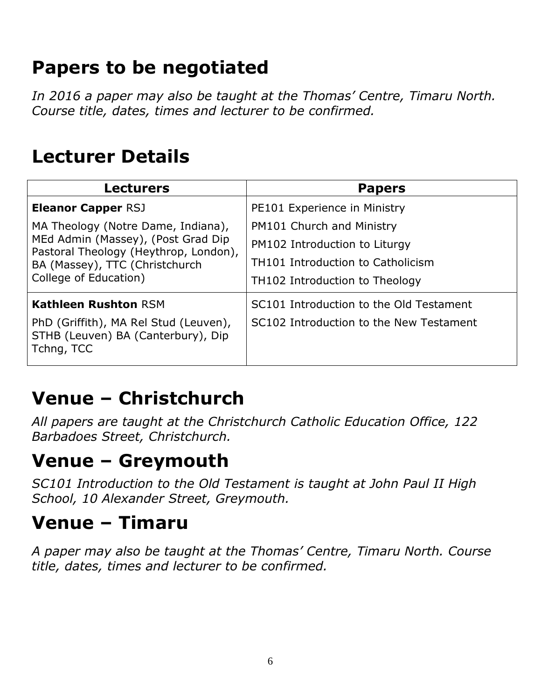## **Papers to be negotiated**

*In 2016 a paper may also be taught at the Thomas' Centre, Timaru North. Course title, dates, times and lecturer to be confirmed.*

## **Lecturer Details**

| <b>Lecturers</b>                                                                                              | <b>Papers</b>                                 |
|---------------------------------------------------------------------------------------------------------------|-----------------------------------------------|
| <b>Eleanor Capper RSJ</b>                                                                                     | PE101 Experience in Ministry                  |
| MA Theology (Notre Dame, Indiana),                                                                            | PM101 Church and Ministry                     |
| MEd Admin (Massey), (Post Grad Dip<br>Pastoral Theology (Heythrop, London),<br>BA (Massey), TTC (Christchurch | PM102 Introduction to Liturgy                 |
|                                                                                                               | TH <sub>101</sub> Introduction to Catholicism |
| College of Education)                                                                                         | TH102 Introduction to Theology                |
| <b>Kathleen Rushton RSM</b>                                                                                   | SC101 Introduction to the Old Testament       |
| PhD (Griffith), MA Rel Stud (Leuven),<br>STHB (Leuven) BA (Canterbury), Dip<br>Tchng, TCC                     | SC102 Introduction to the New Testament       |

## **Venue – Christchurch**

*All papers are taught at the Christchurch Catholic Education Office, 122 Barbadoes Street, Christchurch.*

## **Venue – Greymouth**

*SC101 Introduction to the Old Testament is taught at John Paul II High School, 10 Alexander Street, Greymouth.*

### **Venue – Timaru**

*A paper may also be taught at the Thomas' Centre, Timaru North. Course title, dates, times and lecturer to be confirmed.*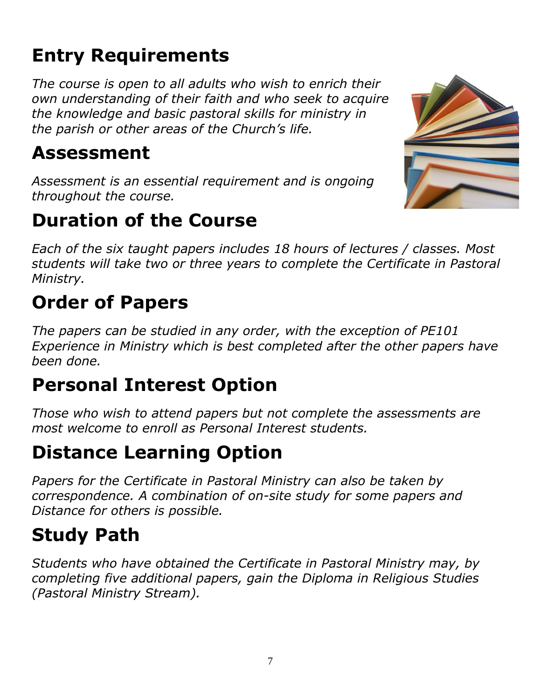# **Entry Requirements**

*The course is open to all adults who wish to enrich their own understanding of their faith and who seek to acquire the knowledge and basic pastoral skills for ministry in the parish or other areas of the Church's life.*

## **Assessment**

*Assessment is an essential requirement and is ongoing throughout the course.*

## **Duration of the Course**

*Each of the six taught papers includes 18 hours of lectures / classes. Most students will take two or three years to complete the Certificate in Pastoral Ministry.* 

# **Order of Papers**

*The papers can be studied in any order, with the exception of PE101 Experience in Ministry which is best completed after the other papers have been done.*

## **Personal Interest Option**

*Those who wish to attend papers but not complete the assessments are most welcome to enroll as Personal Interest students.*

# **Distance Learning Option**

*Papers for the Certificate in Pastoral Ministry can also be taken by correspondence. A combination of on-site study for some papers and Distance for others is possible.*

## **Study Path**

*Students who have obtained the Certificate in Pastoral Ministry may, by completing five additional papers, gain the Diploma in Religious Studies (Pastoral Ministry Stream).*